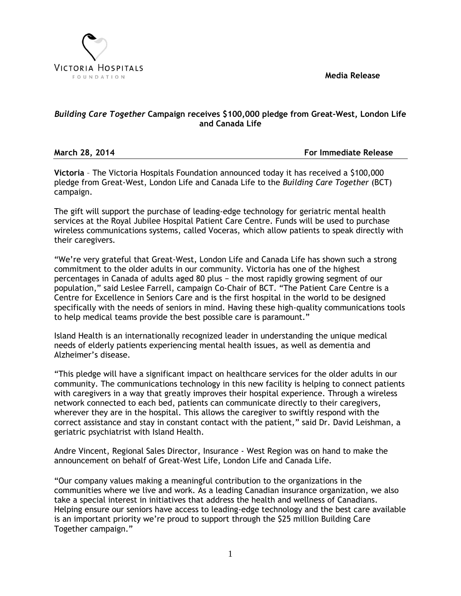**Media Release**



# *Building Care Together* **Campaign receives \$100,000 pledge from Great-West, London Life and Canada Life**

**March 28, 2014 For Immediate Release**

**Victoria** – The Victoria Hospitals Foundation announced today it has received a \$100,000 pledge from Great-West, London Life and Canada Life to the *Building Care Together* (BCT) campaign.

The gift will support the purchase of leading-edge technology for geriatric mental health services at the Royal Jubilee Hospital Patient Care Centre. Funds will be used to purchase wireless communications systems, called Voceras, which allow patients to speak directly with their caregivers.

"We're very grateful that Great-West, London Life and Canada Life has shown such a strong commitment to the older adults in our community. Victoria has one of the highest percentages in Canada of adults aged 80 plus − the most rapidly growing segment of our population," said Leslee Farrell, campaign Co-Chair of BCT. "The Patient Care Centre is a Centre for Excellence in Seniors Care and is the first hospital in the world to be designed specifically with the needs of seniors in mind. Having these high-quality communications tools to help medical teams provide the best possible care is paramount."

Island Health is an internationally recognized leader in understanding the unique medical needs of elderly patients experiencing mental health issues, as well as dementia and Alzheimer's disease.

"This pledge will have a significant impact on healthcare services for the older adults in our community. The communications technology in this new facility is helping to connect patients with caregivers in a way that greatly improves their hospital experience. Through a wireless network connected to each bed, patients can communicate directly to their caregivers, wherever they are in the hospital. This allows the caregiver to swiftly respond with the correct assistance and stay in constant contact with the patient," said Dr. David Leishman, a geriatric psychiatrist with Island Health.

Andre Vincent, Regional Sales Director, Insurance - West Region was on hand to make the announcement on behalf of Great-West Life, London Life and Canada Life.

"Our company values making a meaningful contribution to the organizations in the communities where we live and work. As a leading Canadian insurance organization, we also take a special interest in initiatives that address the health and wellness of Canadians. Helping ensure our seniors have access to leading-edge technology and the best care available is an important priority we're proud to support through the \$25 million Building Care Together campaign."